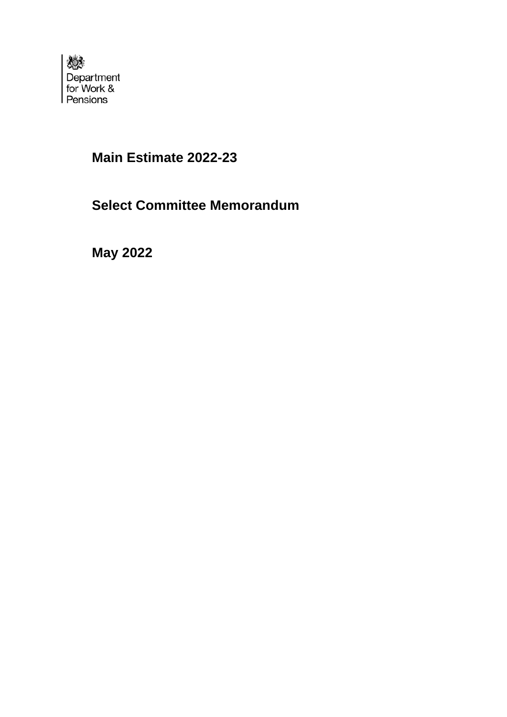

# **Main Estimate 2022-23**

# **Select Committee Memorandum**

**May 2022**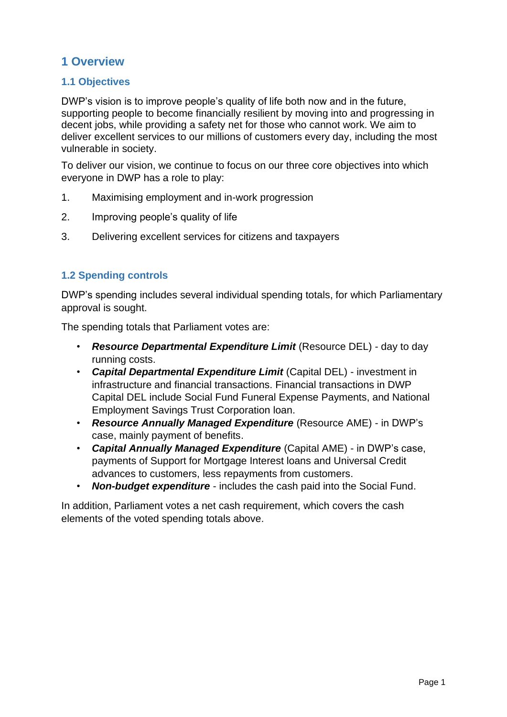## **1 Overview**

## **1.1 Objectives**

DWP's vision is to improve people's quality of life both now and in the future, supporting people to become financially resilient by moving into and progressing in decent jobs, while providing a safety net for those who cannot work. We aim to deliver excellent services to our millions of customers every day, including the most vulnerable in society.

To deliver our vision, we continue to focus on our three core objectives into which everyone in DWP has a role to play:

- 1. Maximising employment and in-work progression
- 2. Improving people's quality of life
- 3. Delivering excellent services for citizens and taxpayers

## **1.2 Spending controls**

DWP's spending includes several individual spending totals, for which Parliamentary approval is sought.

The spending totals that Parliament votes are:

- *Resource Departmental Expenditure Limit* (Resource DEL) day to day running costs.
- *Capital Departmental Expenditure Limit* (Capital DEL) investment in infrastructure and financial transactions. Financial transactions in DWP Capital DEL include Social Fund Funeral Expense Payments, and National Employment Savings Trust Corporation loan.
- *Resource Annually Managed Expenditure* (Resource AME) in DWP's case, mainly payment of benefits.
- *Capital Annually Managed Expenditure* (Capital AME) in DWP's case, payments of Support for Mortgage Interest loans and Universal Credit advances to customers, less repayments from customers.
- *Non-budget expenditure* includes the cash paid into the Social Fund.

In addition, Parliament votes a net cash requirement, which covers the cash elements of the voted spending totals above.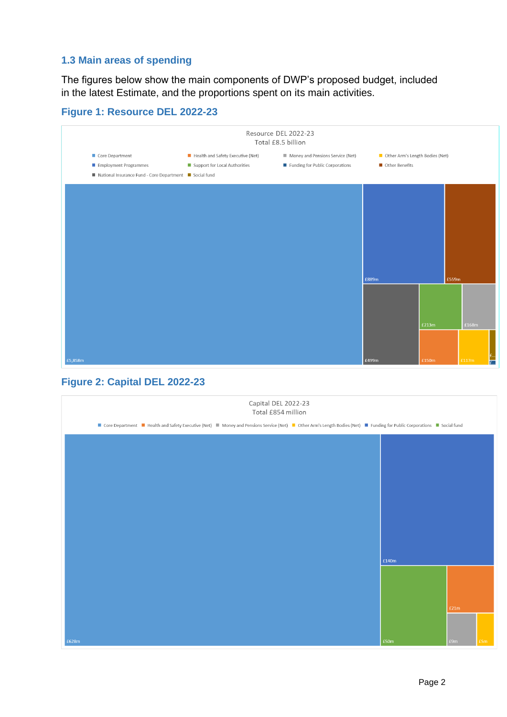### **1.3 Main areas of spending**

The figures below show the main components of DWP's proposed budget, included in the latest Estimate, and the proportions spent on its main activities.

## **Figure 1: Resource DEL 2022-23**



## **Figure 2: Capital DEL 2022-23**

| Capital DEL 2022-23<br>Total £854 million                                                                                                                                  |       |      |     |  |  |
|----------------------------------------------------------------------------------------------------------------------------------------------------------------------------|-------|------|-----|--|--|
| ■ Core Department ■ Health and Safety Executive (Net) ■ Money and Pensions Service (Net) ■ Other Arm's Length Bodies (Net) ■ Funding for Public Corporations ■ Social fund |       |      |     |  |  |
|                                                                                                                                                                            |       |      |     |  |  |
|                                                                                                                                                                            |       |      |     |  |  |
|                                                                                                                                                                            |       |      |     |  |  |
|                                                                                                                                                                            |       |      |     |  |  |
|                                                                                                                                                                            |       |      |     |  |  |
|                                                                                                                                                                            |       |      |     |  |  |
|                                                                                                                                                                            |       |      |     |  |  |
|                                                                                                                                                                            |       |      |     |  |  |
|                                                                                                                                                                            | £140m |      |     |  |  |
|                                                                                                                                                                            |       |      |     |  |  |
|                                                                                                                                                                            |       |      |     |  |  |
|                                                                                                                                                                            |       | £21m |     |  |  |
|                                                                                                                                                                            |       |      |     |  |  |
| £628m                                                                                                                                                                      | £50m  | £9m  | £5m |  |  |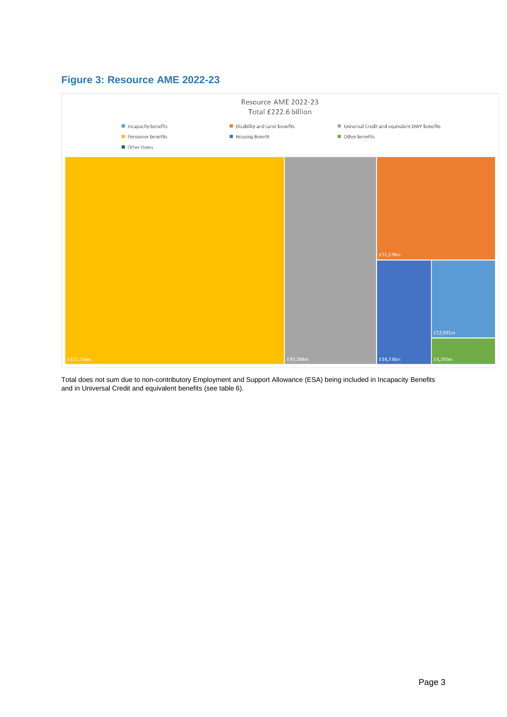## **Figure 3: Resource AME 2022-23**



Total does not sum due to non-contributory Employment and Support Allowance (ESA) being included in Incapacity Benefits and in Universal Credit and equivalent benefits (see table 6).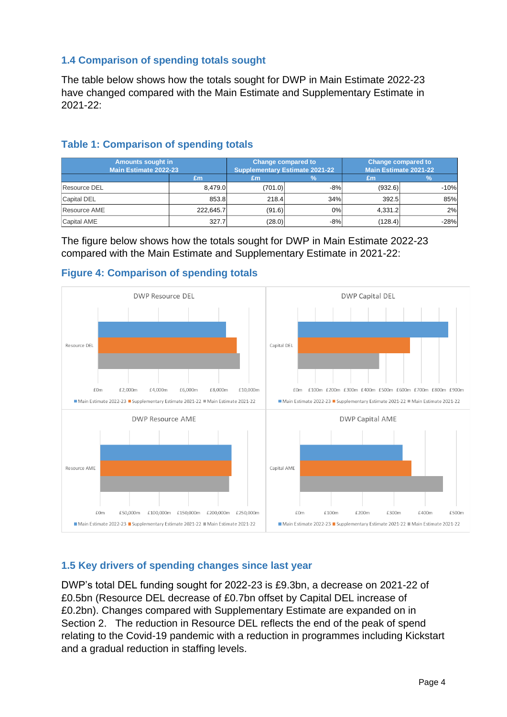## **1.4 Comparison of spending totals sought**

The table below shows how the totals sought for DWP in Main Estimate 2022-23 have changed compared with the Main Estimate and Supplementary Estimate in 2021-22:

| <b>Amounts sought in</b><br><b>Main Estimate 2022-23</b> |           | Change compared to | Supplementary Estimate 2021-22 | Change compared to<br><b>Main Estimate 2021-22</b> |        |
|----------------------------------------------------------|-----------|--------------------|--------------------------------|----------------------------------------------------|--------|
|                                                          | £m        | £m                 |                                | £m                                                 |        |
| <b>Resource DEL</b>                                      | 8.479.0   | (701.0)            | $-8%$                          | (932.6)                                            | $-10%$ |
| <b>Capital DEL</b>                                       | 853.8     | 218.4              | 34%                            | 392.5                                              | 85%    |
| Resource AME                                             | 222.645.7 | (91.6)             | 0%                             | 4.331.2                                            | 2%     |
| <b>Capital AME</b>                                       | 327.7     | (28.0)             | -8%                            | (128.4)                                            | $-28%$ |

## **Table 1: Comparison of spending totals**

The figure below shows how the totals sought for DWP in Main Estimate 2022-23 compared with the Main Estimate and Supplementary Estimate in 2021-22:



### **Figure 4: Comparison of spending totals**

#### **1.5 Key drivers of spending changes since last year**

DWP's total DEL funding sought for 2022-23 is £9.3bn, a decrease on 2021-22 of £0.5bn (Resource DEL decrease of £0.7bn offset by Capital DEL increase of £0.2bn). Changes compared with Supplementary Estimate are expanded on in Section 2. The reduction in Resource DEL reflects the end of the peak of spend relating to the Covid-19 pandemic with a reduction in programmes including Kickstart and a gradual reduction in staffing levels.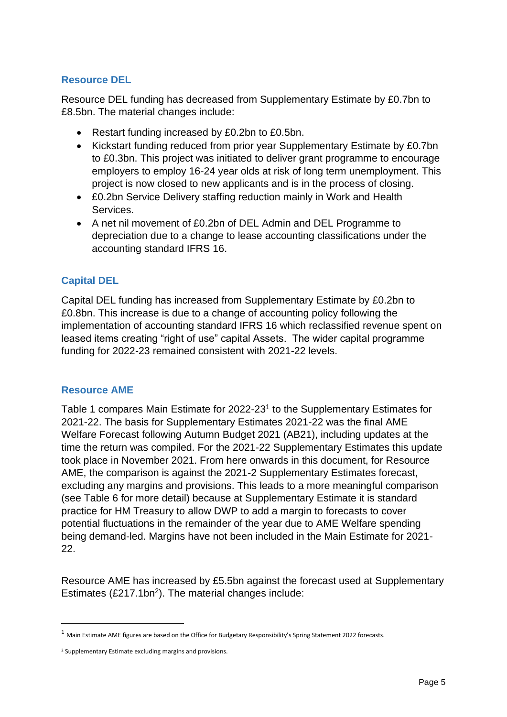## **Resource DEL**

Resource DEL funding has decreased from Supplementary Estimate by £0.7bn to £8.5bn. The material changes include:

- Restart funding increased by £0.2bn to £0.5bn.
- Kickstart funding reduced from prior year Supplementary Estimate by £0.7bn to £0.3bn. This project was initiated to deliver grant programme to encourage employers to employ 16-24 year olds at risk of long term unemployment. This project is now closed to new applicants and is in the process of closing.
- £0.2bn Service Delivery staffing reduction mainly in Work and Health Services.
- A net nil movement of £0.2bn of DEL Admin and DEL Programme to depreciation due to a change to lease accounting classifications under the accounting standard IFRS 16.

## **Capital DEL**

Capital DEL funding has increased from Supplementary Estimate by £0.2bn to £0.8bn. This increase is due to a change of accounting policy following the implementation of accounting standard IFRS 16 which reclassified revenue spent on leased items creating "right of use" capital Assets. The wider capital programme funding for 2022-23 remained consistent with 2021-22 levels.

#### **Resource AME**

Table 1 compares Main Estimate for 2022-23<sup>1</sup> to the Supplementary Estimates for 2021-22. The basis for Supplementary Estimates 2021-22 was the final AME Welfare Forecast following Autumn Budget 2021 (AB21), including updates at the time the return was compiled. For the 2021-22 Supplementary Estimates this update took place in November 2021. From here onwards in this document, for Resource AME, the comparison is against the 2021-2 Supplementary Estimates forecast, excluding any margins and provisions. This leads to a more meaningful comparison (see Table 6 for more detail) because at Supplementary Estimate it is standard practice for HM Treasury to allow DWP to add a margin to forecasts to cover potential fluctuations in the remainder of the year due to AME Welfare spending being demand-led. Margins have not been included in the Main Estimate for 2021- 22.

Resource AME has increased by £5.5bn against the forecast used at Supplementary Estimates  $(E217.1bn<sup>2</sup>)$ . The material changes include:

 $1$  Main Estimate AME figures are based on the Office for Budgetary Responsibility's Spring Statement 2022 forecasts.

<sup>2</sup> Supplementary Estimate excluding margins and provisions.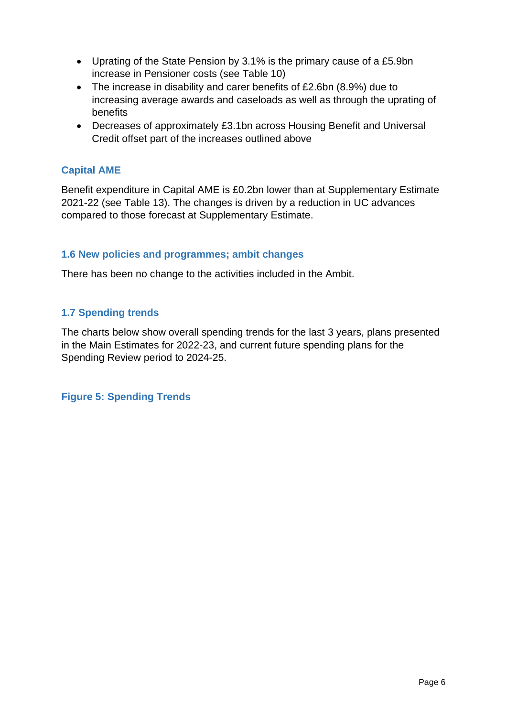- Uprating of the State Pension by 3.1% is the primary cause of a £5.9bn increase in Pensioner costs (see Table 10)
- The increase in disability and carer benefits of £2.6bn (8.9%) due to increasing average awards and caseloads as well as through the uprating of benefits
- Decreases of approximately £3.1bn across Housing Benefit and Universal Credit offset part of the increases outlined above

### **Capital AME**

Benefit expenditure in Capital AME is £0.2bn lower than at Supplementary Estimate 2021-22 (see Table 13). The changes is driven by a reduction in UC advances compared to those forecast at Supplementary Estimate.

#### **1.6 New policies and programmes; ambit changes**

There has been no change to the activities included in the Ambit.

#### **1.7 Spending trends**

The charts below show overall spending trends for the last 3 years, plans presented in the Main Estimates for 2022-23, and current future spending plans for the Spending Review period to 2024-25.

**Figure 5: Spending Trends**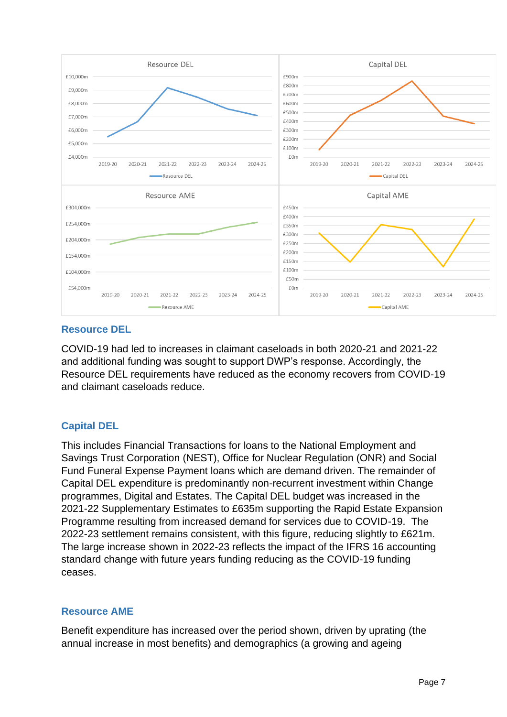

## **Resource DEL**

COVID-19 had led to increases in claimant caseloads in both 2020-21 and 2021-22 and additional funding was sought to support DWP's response. Accordingly, the Resource DEL requirements have reduced as the economy recovers from COVID-19 and claimant caseloads reduce.

## **Capital DEL**

This includes Financial Transactions for loans to the National Employment and Savings Trust Corporation (NEST), Office for Nuclear Regulation (ONR) and Social Fund Funeral Expense Payment loans which are demand driven. The remainder of Capital DEL expenditure is predominantly non-recurrent investment within Change programmes, Digital and Estates. The Capital DEL budget was increased in the 2021-22 Supplementary Estimates to £635m supporting the Rapid Estate Expansion Programme resulting from increased demand for services due to COVID-19. The 2022-23 settlement remains consistent, with this figure, reducing slightly to £621m. The large increase shown in 2022-23 reflects the impact of the IFRS 16 accounting standard change with future years funding reducing as the COVID-19 funding ceases.

#### **Resource AME**

Benefit expenditure has increased over the period shown, driven by uprating (the annual increase in most benefits) and demographics (a growing and ageing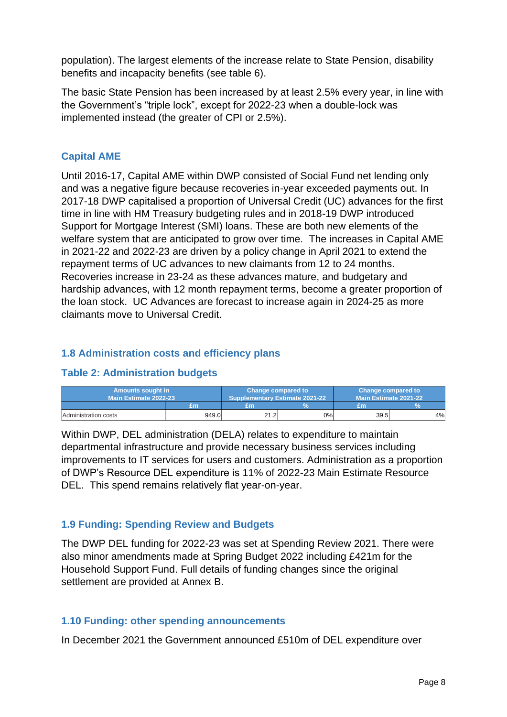population). The largest elements of the increase relate to State Pension, disability benefits and incapacity benefits (see table 6).

The basic State Pension has been increased by at least 2.5% every year, in line with the Government's "triple lock", except for 2022-23 when a double-lock was implemented instead (the greater of CPI or 2.5%).

## **Capital AME**

Until 2016-17, Capital AME within DWP consisted of Social Fund net lending only and was a negative figure because recoveries in-year exceeded payments out. In 2017-18 DWP capitalised a proportion of Universal Credit (UC) advances for the first time in line with HM Treasury budgeting rules and in 2018-19 DWP introduced Support for Mortgage Interest (SMI) loans. These are both new elements of the welfare system that are anticipated to grow over time. The increases in Capital AME in 2021-22 and 2022-23 are driven by a policy change in April 2021 to extend the repayment terms of UC advances to new claimants from 12 to 24 months. Recoveries increase in 23-24 as these advances mature, and budgetary and hardship advances, with 12 month repayment terms, become a greater proportion of the loan stock. UC Advances are forecast to increase again in 2024-25 as more claimants move to Universal Credit.

### **1.8 Administration costs and efficiency plans**

#### **Table 2: Administration budgets**

| <b>Amounts sought in</b><br>Main Estimate 2022-23 |       | Change compared to | Supplementary Estimate 2021-22 | Change compared to<br>Main Estimate 2021-22 |    |
|---------------------------------------------------|-------|--------------------|--------------------------------|---------------------------------------------|----|
|                                                   | £т    | £m                 |                                | £m                                          |    |
| Administration costs                              | 949.0 | 21.2               | 0%                             | 39.5                                        | 4% |

Within DWP, DEL administration (DELA) relates to expenditure to maintain departmental infrastructure and provide necessary business services including improvements to IT services for users and customers. Administration as a proportion of DWP's Resource DEL expenditure is 11% of 2022-23 Main Estimate Resource DEL. This spend remains relatively flat year-on-year.

## **1.9 Funding: Spending Review and Budgets**

The DWP DEL funding for 2022-23 was set at Spending Review 2021. There were also minor amendments made at Spring Budget 2022 including £421m for the Household Support Fund. Full details of funding changes since the original settlement are provided at Annex B.

## **1.10 Funding: other spending announcements**

In December 2021 the Government announced £510m of DEL expenditure over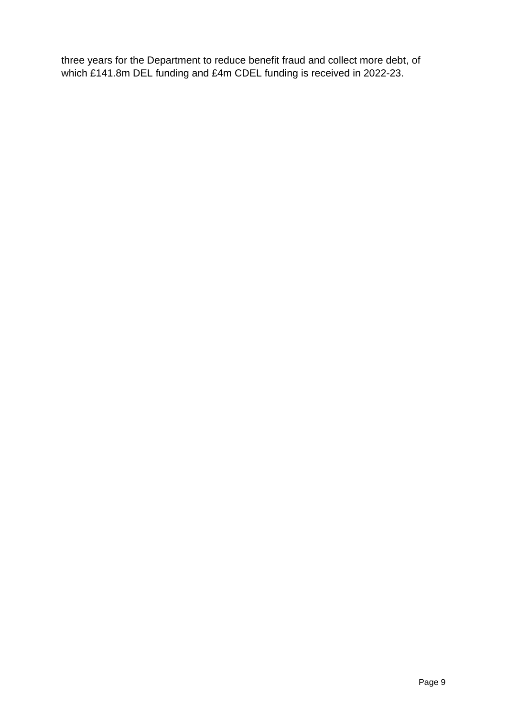three years for the Department to reduce benefit fraud and collect more debt, of which £141.8m DEL funding and £4m CDEL funding is received in 2022-23.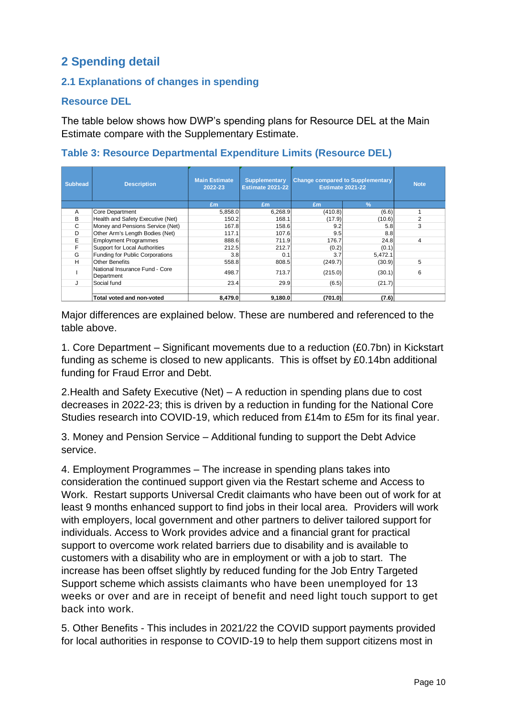## **2 Spending detail**

## **2.1 Explanations of changes in spending**

### **Resource DEL**

The table below shows how DWP's spending plans for Resource DEL at the Main Estimate compare with the Supplementary Estimate.

**Table 3: Resource Departmental Expenditure Limits (Resource DEL)** 

| <b>Subhead</b> | <b>Description</b>                           | <b>Main Estimate</b><br>2022-23 | <b>Supplementary</b><br><b>Estimate 2021-22</b> | <b>Change compared to Supplementary</b><br><b>Estimate 2021-22</b> |               | <b>Note</b> |
|----------------|----------------------------------------------|---------------------------------|-------------------------------------------------|--------------------------------------------------------------------|---------------|-------------|
|                |                                              | Em                              | Em                                              | Em                                                                 | $\frac{9}{6}$ |             |
| A              | Core Department                              | 5,858.0                         | 6,268.9                                         | (410.8)                                                            | (6.6)         |             |
| B              | Health and Safety Executive (Net)            | 150.2                           | 168.1                                           | (17.9)                                                             | (10.6)        | 2           |
| C              | Money and Pensions Service (Net)             | 167.8                           | 158.6                                           | 9.2                                                                | 5.8           | 3           |
| D              | Other Arm's Length Bodies (Net)              | 117.1                           | 107.6                                           | 9.5                                                                | 8.8           |             |
| E              | <b>Employment Programmes</b>                 | 888.6                           | 711.9                                           | 176.7                                                              | 24.8          | 4           |
| F              | Support for Local Authorities                | 212.5                           | 212.7                                           | (0.2)                                                              | (0.1)         |             |
| G              | Funding for Public Corporations              | 3.8                             | 0.1                                             | 3.7                                                                | 5,472.1       |             |
| н              | <b>Other Benefits</b>                        | 558.8                           | 808.5                                           | (249.7)                                                            | (30.9)        | 5           |
|                | National Insurance Fund - Core<br>Department | 498.7                           | 713.7                                           | (215.0)                                                            | (30.1)        | 6           |
|                | Social fund                                  | 23.4                            | 29.9                                            | (6.5)                                                              | (21.7)        |             |
|                |                                              |                                 |                                                 |                                                                    |               |             |
|                | Total voted and non-voted                    | 8,479.0                         | 9,180.0                                         | (701.0)                                                            | (7.6)         |             |

Major differences are explained below. These are numbered and referenced to the table above.

1. Core Department – Significant movements due to a reduction (£0.7bn) in Kickstart funding as scheme is closed to new applicants. This is offset by £0.14bn additional funding for Fraud Error and Debt.

2.Health and Safety Executive (Net) – A reduction in spending plans due to cost decreases in 2022-23; this is driven by a reduction in funding for the National Core Studies research into COVID-19, which reduced from £14m to £5m for its final year.

3. Money and Pension Service – Additional funding to support the Debt Advice service.

4. Employment Programmes – The increase in spending plans takes into consideration the continued support given via the Restart scheme and Access to Work. Restart supports Universal Credit claimants who have been out of work for at least 9 months enhanced support to find jobs in their local area. Providers will work with employers, local government and other partners to deliver tailored support for individuals. Access to Work provides advice and a financial grant for practical support to overcome work related barriers due to disability and is available to customers with a disability who are in employment or with a job to start. The increase has been offset slightly by reduced funding for the Job Entry Targeted Support scheme which assists claimants who have been unemployed for 13 weeks or over and are in receipt of benefit and need light touch support to get back into work.

5. Other Benefits - This includes in 2021/22 the COVID support payments provided for local authorities in response to COVID-19 to help them support citizens most in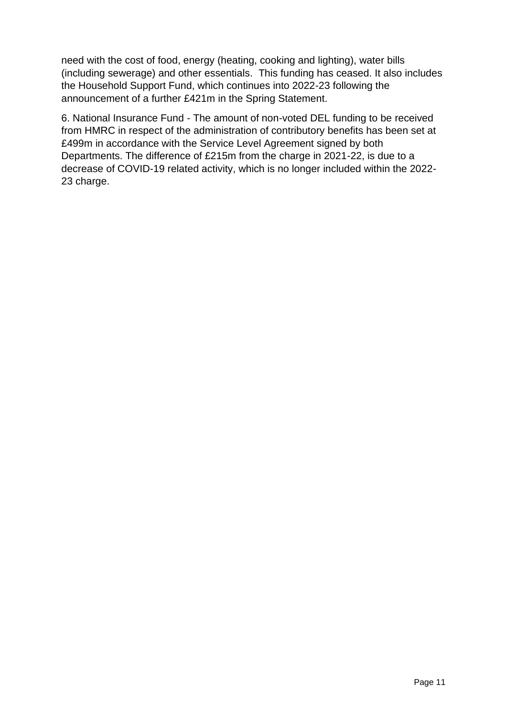need with the cost of food, energy (heating, cooking and lighting), water bills (including sewerage) and other essentials. This funding has ceased. It also includes the Household Support Fund, which continues into 2022-23 following the announcement of a further £421m in the Spring Statement.

6. National Insurance Fund - The amount of non-voted DEL funding to be received from HMRC in respect of the administration of contributory benefits has been set at £499m in accordance with the Service Level Agreement signed by both Departments. The difference of £215m from the charge in 2021-22, is due to a decrease of COVID-19 related activity, which is no longer included within the 2022- 23 charge.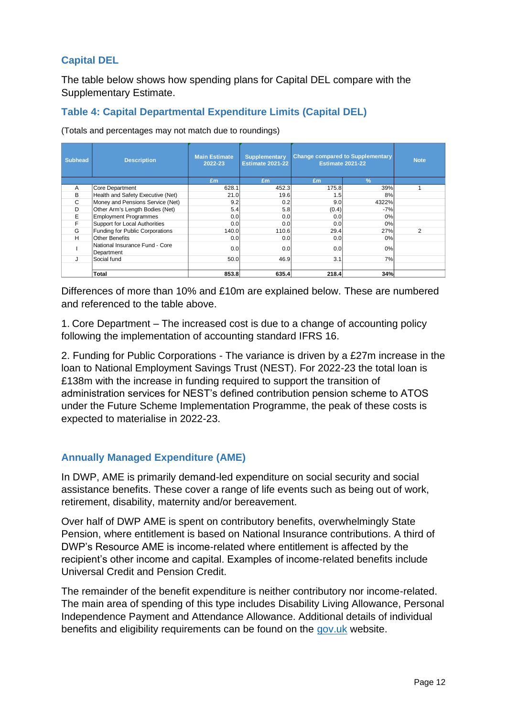## **Capital DEL**

The table below shows how spending plans for Capital DEL compare with the Supplementary Estimate.

## **Table 4: Capital Departmental Expenditure Limits (Capital DEL)**

(Totals and percentages may not match due to roundings)

| <b>Subhead</b> | <b>Description</b>                           | <b>Main Estimate</b><br>2022-23 | <b>Supplementary</b><br><b>Estimate 2021-22</b> | <b>Change compared to Supplementary</b><br><b>Estimate 2021-22</b> |               | <b>Note</b> |
|----------------|----------------------------------------------|---------------------------------|-------------------------------------------------|--------------------------------------------------------------------|---------------|-------------|
|                |                                              | Em                              | Em                                              | £m                                                                 | $\frac{9}{6}$ |             |
| A              | Core Department                              | 628.1                           | 452.3                                           | 175.8                                                              | 39%           |             |
| B              | Health and Safety Executive (Net)            | 21.0                            | 19.6                                            | 1.5                                                                | 8%            |             |
| C              | Money and Pensions Service (Net)             | 9.2                             | 0.2                                             | 9.0 <sub>l</sub>                                                   | 4322%         |             |
| D              | Other Arm's Length Bodies (Net)              | 5.4                             | 5.8                                             | (0.4)                                                              | $-7%$         |             |
| E              | <b>Employment Programmes</b>                 | 0.0                             | 0.0                                             | 0.0                                                                | 0%            |             |
| F              | Support for Local Authorities                | 0.0                             | 0.0                                             | 0.0                                                                | 0%            |             |
| G              | Funding for Public Corporations              | 140.0                           | 110.6                                           | 29.4                                                               | 27%           | 2           |
| н              | <b>Other Benefits</b>                        | 0.0                             | 0.01                                            | 0.0                                                                | 0%            |             |
|                | National Insurance Fund - Core<br>Department | 0.0                             | 0.0                                             | 0.0                                                                | 0%            |             |
|                | Social fund                                  | 50.0                            | 46.9                                            | 3.1                                                                | 7%            |             |
|                |                                              |                                 |                                                 |                                                                    |               |             |
|                | Total                                        | 853.8                           | 635.4                                           | 218.4                                                              | 34%           |             |

Differences of more than 10% and £10m are explained below. These are numbered and referenced to the table above.

1. Core Department – The increased cost is due to a change of accounting policy following the implementation of accounting standard IFRS 16.

2. Funding for Public Corporations - The variance is driven by a £27m increase in the loan to National Employment Savings Trust (NEST). For 2022-23 the total loan is £138m with the increase in funding required to support the transition of administration services for NEST's defined contribution pension scheme to ATOS under the Future Scheme Implementation Programme, the peak of these costs is expected to materialise in 2022-23.

## **Annually Managed Expenditure (AME)**

In DWP, AME is primarily demand-led expenditure on social security and social assistance benefits. These cover a range of life events such as being out of work, retirement, disability, maternity and/or bereavement.

Over half of DWP AME is spent on contributory benefits, overwhelmingly State Pension, where entitlement is based on National Insurance contributions. A third of DWP's Resource AME is income-related where entitlement is affected by the recipient's other income and capital. Examples of income-related benefits include Universal Credit and Pension Credit.

The remainder of the benefit expenditure is neither contributory nor income-related. The main area of spending of this type includes Disability Living Allowance, Personal Independence Payment and Attendance Allowance. Additional details of individual benefits and eligibility requirements can be found on the [gov.uk](https://www.gov.uk/browse/benefits) website.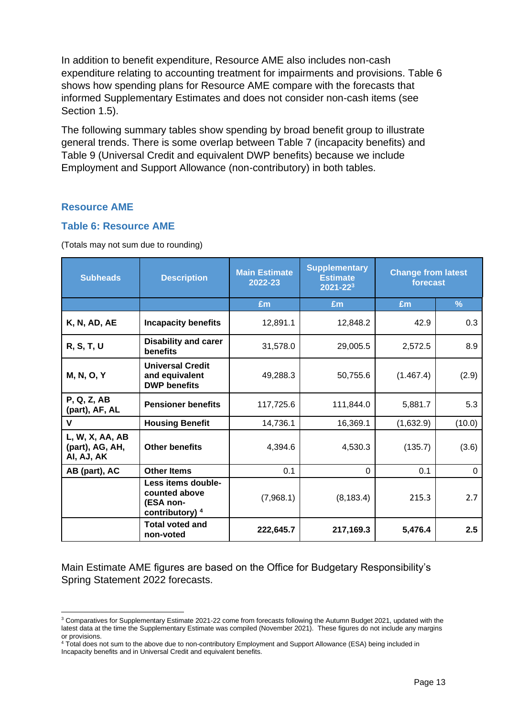In addition to benefit expenditure, Resource AME also includes non-cash expenditure relating to accounting treatment for impairments and provisions. Table 6 shows how spending plans for Resource AME compare with the forecasts that informed Supplementary Estimates and does not consider non-cash items (see Section 1.5).

The following summary tables show spending by broad benefit group to illustrate general trends. There is some overlap between Table 7 (incapacity benefits) and Table 9 (Universal Credit and equivalent DWP benefits) because we include Employment and Support Allowance (non-contributory) in both tables.

#### **Resource AME**

#### **Table 6: Resource AME**

(Totals may not sum due to rounding)

| <b>Subheads</b>                                  | <b>Description</b>                                                             | <b>Main Estimate</b><br>2022-23 | <b>Supplementary</b><br><b>Estimate</b><br>$2021 - 223$ | <b>Change from latest</b><br>forecast |               |
|--------------------------------------------------|--------------------------------------------------------------------------------|---------------------------------|---------------------------------------------------------|---------------------------------------|---------------|
|                                                  |                                                                                | Em                              | £m                                                      | Em                                    | $\frac{9}{6}$ |
| K, N, AD, AE                                     | <b>Incapacity benefits</b>                                                     | 12,891.1                        | 12,848.2                                                | 42.9                                  | 0.3           |
| <b>R, S, T, U</b>                                | <b>Disability and carer</b><br>benefits                                        | 31,578.0                        | 29,005.5                                                | 2,572.5                               | 8.9           |
| <b>M, N, O, Y</b>                                | <b>Universal Credit</b><br>and equivalent<br><b>DWP</b> benefits               | 49,288.3                        | 50,755.6                                                | (1.467.4)                             | (2.9)         |
| <b>P, Q, Z, AB</b><br>(part), AF, AL             | <b>Pensioner benefits</b>                                                      | 117,725.6                       | 111,844.0                                               | 5,881.7                               | 5.3           |
| $\mathbf v$                                      | <b>Housing Benefit</b>                                                         | 14,736.1                        | 16,369.1                                                | (1,632.9)                             | (10.0)        |
| L, W, X, AA, AB<br>(part), AG, AH,<br>AI, AJ, AK | <b>Other benefits</b>                                                          | 4,394.6                         | 4,530.3                                                 | (135.7)                               | (3.6)         |
| AB (part), AC                                    | <b>Other Items</b>                                                             | 0.1                             | $\Omega$                                                | 0.1                                   | $\Omega$      |
|                                                  | Less items double-<br>counted above<br>(ESA non-<br>contributory) <sup>4</sup> | (7,968.1)                       | (8, 183.4)                                              | 215.3                                 | 2.7           |
|                                                  | <b>Total voted and</b><br>non-voted                                            | 222,645.7                       | 217,169.3                                               | 5,476.4                               | 2.5           |

Main Estimate AME figures are based on the Office for Budgetary Responsibility's Spring Statement 2022 forecasts.

<sup>&</sup>lt;sup>3</sup> Comparatives for Supplementary Estimate 2021-22 come from forecasts following the Autumn Budget 2021, updated with the latest data at the time the Supplementary Estimate was compiled (November 2021). These figures do not include any margins or provisions.

<sup>4</sup> Total does not sum to the above due to non-contributory Employment and Support Allowance (ESA) being included in Incapacity benefits and in Universal Credit and equivalent benefits.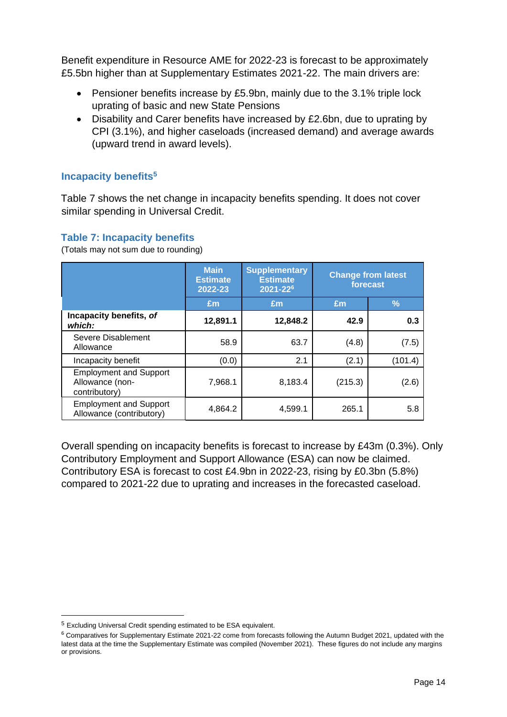Benefit expenditure in Resource AME for 2022-23 is forecast to be approximately £5.5bn higher than at Supplementary Estimates 2021-22. The main drivers are:

- Pensioner benefits increase by £5.9bn, mainly due to the 3.1% triple lock uprating of basic and new State Pensions
- Disability and Carer benefits have increased by £2.6bn, due to uprating by CPI (3.1%), and higher caseloads (increased demand) and average awards (upward trend in award levels).

### **Incapacity benefits<sup>5</sup>**

Table 7 shows the net change in incapacity benefits spending. It does not cover similar spending in Universal Credit.

#### **Table 7: Incapacity benefits**

(Totals may not sum due to rounding)

|                                                                   | <b>Main</b><br><b>Estimate</b><br>2022-23 | <b>Supplementary</b><br><b>Estimate</b><br>2021-226 | forecast | <b>Change from latest</b> |
|-------------------------------------------------------------------|-------------------------------------------|-----------------------------------------------------|----------|---------------------------|
|                                                                   | £m                                        | Em                                                  | Em       | $\frac{9}{6}$             |
| Incapacity benefits, of<br>which:                                 | 12,891.1                                  | 12,848.2                                            | 42.9     | 0.3                       |
| Severe Disablement<br>Allowance                                   | 58.9                                      | 63.7                                                | (4.8)    | (7.5)                     |
| Incapacity benefit                                                | (0.0)                                     | 2.1                                                 | (2.1)    | (101.4)                   |
| <b>Employment and Support</b><br>Allowance (non-<br>contributory) | 7,968.1                                   | 8,183.4                                             | (215.3)  | (2.6)                     |
| <b>Employment and Support</b><br>Allowance (contributory)         | 4.864.2                                   | 4,599.1                                             | 265.1    | 5.8                       |

Overall spending on incapacity benefits is forecast to increase by £43m (0.3%). Only Contributory Employment and Support Allowance (ESA) can now be claimed. Contributory ESA is forecast to cost £4.9bn in 2022-23, rising by £0.3bn (5.8%) compared to 2021-22 due to uprating and increases in the forecasted caseload.

<sup>5</sup> Excluding Universal Credit spending estimated to be ESA equivalent.

<sup>&</sup>lt;sup>6</sup> Comparatives for Supplementary Estimate 2021-22 come from forecasts following the Autumn Budget 2021, updated with the latest data at the time the Supplementary Estimate was compiled (November 2021). These figures do not include any margins or provisions.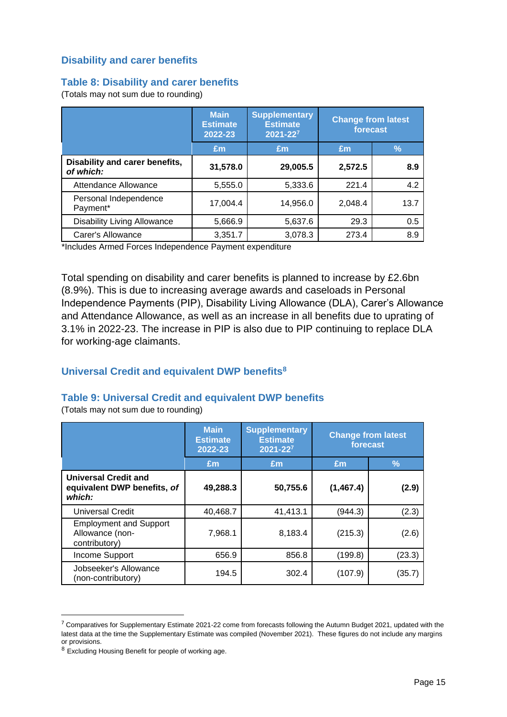### **Disability and carer benefits**

#### **Table 8: Disability and carer benefits**

(Totals may not sum due to rounding)

|                                             | <b>Main</b><br><b>Estimate</b><br>2022-23 | <b>Supplementary</b><br><b>Estimate</b><br>2021-227 | <b>Change from latest</b><br>forecast |      |
|---------------------------------------------|-------------------------------------------|-----------------------------------------------------|---------------------------------------|------|
|                                             | Em                                        | £m                                                  | Em                                    | $\%$ |
| Disability and carer benefits,<br>of which: | 31,578.0                                  | 29,005.5                                            | 2,572.5                               | 8.9  |
| Attendance Allowance                        | 5,555.0                                   | 5,333.6                                             | 221.4                                 | 4.2  |
| Personal Independence<br>Payment*           | 17,004.4                                  | 14,956.0                                            | 2,048.4                               | 13.7 |
| <b>Disability Living Allowance</b>          | 5,666.9                                   | 5,637.6                                             | 29.3                                  | 0.5  |
| Carer's Allowance                           | 3,351.7                                   | 3,078.3                                             | 273.4                                 | 8.9  |

\*Includes Armed Forces Independence Payment expenditure

Total spending on disability and carer benefits is planned to increase by £2.6bn (8.9%). This is due to increasing average awards and caseloads in Personal Independence Payments (PIP), Disability Living Allowance (DLA), Carer's Allowance and Attendance Allowance, as well as an increase in all benefits due to uprating of 3.1% in 2022-23. The increase in PIP is also due to PIP continuing to replace DLA for working-age claimants.

#### **Universal Credit and equivalent DWP benefits<sup>8</sup>**

#### **Table 9: Universal Credit and equivalent DWP benefits**

(Totals may not sum due to rounding)

|                                                                      | <b>Main</b><br><b>Estimate</b><br>2022-23 | <b>Supplementary</b><br><b>Estimate</b><br>$2021 - 22^7$ | <b>Change from latest</b><br>forecast |        |
|----------------------------------------------------------------------|-------------------------------------------|----------------------------------------------------------|---------------------------------------|--------|
|                                                                      | Em                                        | £m                                                       | Em                                    | ℅      |
| <b>Universal Credit and</b><br>equivalent DWP benefits, of<br>which: | 49,288.3                                  | 50,755.6                                                 | (1, 467.4)                            | (2.9)  |
| <b>Universal Credit</b>                                              | 40,468.7                                  | 41,413.1                                                 | (944.3)                               | (2.3)  |
| <b>Employment and Support</b><br>Allowance (non-<br>contributory)    | 7,968.1                                   | 8,183.4                                                  | (215.3)                               | (2.6)  |
| Income Support                                                       | 656.9                                     | 856.8                                                    | (199.8)                               | (23.3) |
| Jobseeker's Allowance<br>(non-contributory)                          | 194.5                                     | 302.4                                                    | (107.9)                               | (35.7) |

<sup>&</sup>lt;sup>7</sup> Comparatives for Supplementary Estimate 2021-22 come from forecasts following the Autumn Budget 2021, updated with the latest data at the time the Supplementary Estimate was compiled (November 2021). These figures do not include any margins or provisions.

<sup>8</sup> Excluding Housing Benefit for people of working age.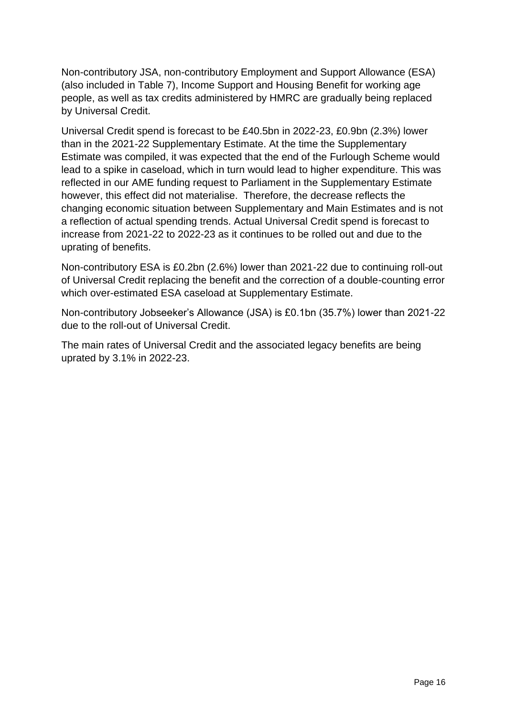Non-contributory JSA, non-contributory Employment and Support Allowance (ESA) (also included in Table 7), Income Support and Housing Benefit for working age people, as well as tax credits administered by HMRC are gradually being replaced by Universal Credit.

Universal Credit spend is forecast to be £40.5bn in 2022-23, £0.9bn (2.3%) lower than in the 2021-22 Supplementary Estimate. At the time the Supplementary Estimate was compiled, it was expected that the end of the Furlough Scheme would lead to a spike in caseload, which in turn would lead to higher expenditure. This was reflected in our AME funding request to Parliament in the Supplementary Estimate however, this effect did not materialise. Therefore, the decrease reflects the changing economic situation between Supplementary and Main Estimates and is not a reflection of actual spending trends. Actual Universal Credit spend is forecast to increase from 2021-22 to 2022-23 as it continues to be rolled out and due to the uprating of benefits.

Non-contributory ESA is £0.2bn (2.6%) lower than 2021-22 due to continuing roll-out of Universal Credit replacing the benefit and the correction of a double-counting error which over-estimated ESA caseload at Supplementary Estimate.

Non-contributory Jobseeker's Allowance (JSA) is £0.1bn (35.7%) lower than 2021-22 due to the roll-out of Universal Credit.

The main rates of Universal Credit and the associated legacy benefits are being uprated by 3.1% in 2022-23.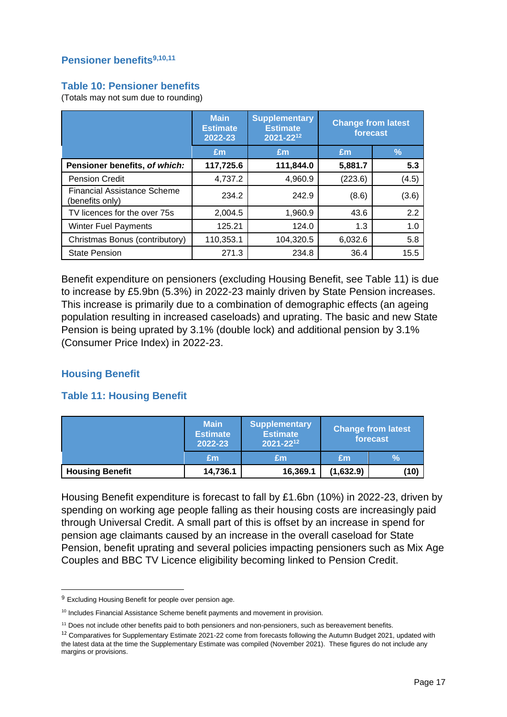#### **Pensioner benefits9,10,11**

#### **Table 10: Pensioner benefits**

(Totals may not sum due to rounding)

|                                                       | <b>Main</b><br><b>Estimate</b><br>2022-23 | <b>Supplementary</b><br><b>Estimate</b><br>2021-2212 | <b>Change from latest</b><br>forecast |       |
|-------------------------------------------------------|-------------------------------------------|------------------------------------------------------|---------------------------------------|-------|
|                                                       | Em                                        | Em                                                   | Em                                    | $\%$  |
| Pensioner benefits, of which:                         | 117,725.6                                 | 111,844.0                                            | 5,881.7                               | 5.3   |
| <b>Pension Credit</b>                                 | 4,737.2                                   | 4,960.9                                              | (223.6)                               | (4.5) |
| <b>Financial Assistance Scheme</b><br>(benefits only) | 234.2                                     | 242.9                                                | (8.6)                                 | (3.6) |
| TV licences for the over 75s                          | 2,004.5                                   | 1,960.9                                              | 43.6                                  | 2.2   |
| <b>Winter Fuel Payments</b>                           | 125.21                                    | 124.0                                                | 1.3                                   | 1.0   |
| Christmas Bonus (contributory)                        | 110,353.1                                 | 104,320.5                                            | 6,032.6                               | 5.8   |
| <b>State Pension</b>                                  | 271.3                                     | 234.8                                                | 36.4                                  | 15.5  |

Benefit expenditure on pensioners (excluding Housing Benefit, see Table 11) is due to increase by £5.9bn (5.3%) in 2022-23 mainly driven by State Pension increases. This increase is primarily due to a combination of demographic effects (an ageing population resulting in increased caseloads) and uprating. The basic and new State Pension is being uprated by 3.1% (double lock) and additional pension by 3.1% (Consumer Price Index) in 2022-23.

#### **Housing Benefit**

#### **Table 11: Housing Benefit**

|                        | <b>Main</b><br><b>Estimate</b><br>2022-23 | <b>Supplementary</b><br><b>Estimate</b><br>2021-2212 | <b>Change from latest</b><br>forecast |               |
|------------------------|-------------------------------------------|------------------------------------------------------|---------------------------------------|---------------|
|                        | Em                                        | Em                                                   | Em                                    | $\frac{9}{6}$ |
| <b>Housing Benefit</b> | 14,736.1                                  | 16,369.1                                             | (1,632.9)                             | (10)          |

Housing Benefit expenditure is forecast to fall by £1.6bn (10%) in 2022-23, driven by spending on working age people falling as their housing costs are increasingly paid through Universal Credit. A small part of this is offset by an increase in spend for pension age claimants caused by an increase in the overall caseload for State Pension, benefit uprating and several policies impacting pensioners such as Mix Age Couples and BBC TV Licence eligibility becoming linked to Pension Credit.

<sup>&</sup>lt;sup>9</sup> Excluding Housing Benefit for people over pension age.

<sup>&</sup>lt;sup>10</sup> Includes Financial Assistance Scheme benefit payments and movement in provision.

<sup>11</sup> Does not include other benefits paid to both pensioners and non-pensioners, such as bereavement benefits.

<sup>&</sup>lt;sup>12</sup> Comparatives for Supplementary Estimate 2021-22 come from forecasts following the Autumn Budget 2021, updated with the latest data at the time the Supplementary Estimate was compiled (November 2021). These figures do not include any margins or provisions.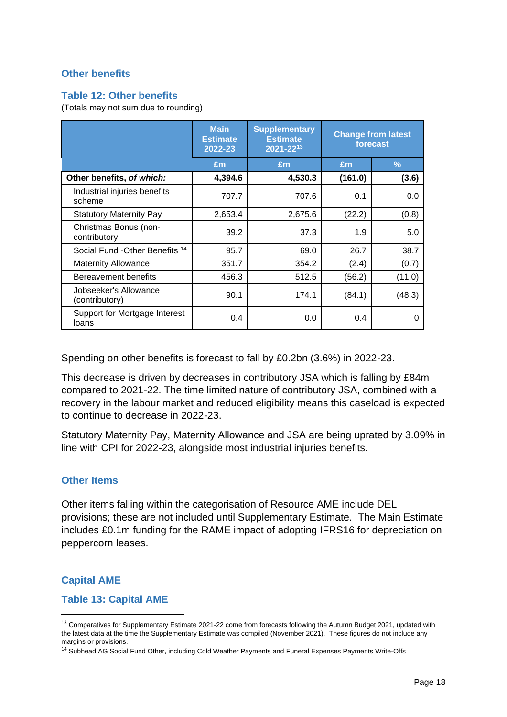### **Other benefits**

#### **Table 12: Other benefits**

(Totals may not sum due to rounding)

|                                            | <b>Main</b><br><b>Estimate</b><br>2022-23 | <b>Supplementary</b><br><b>Estimate</b><br>2021-2213 |         | <b>Change from latest</b><br>forecast |
|--------------------------------------------|-------------------------------------------|------------------------------------------------------|---------|---------------------------------------|
|                                            | £m                                        | £m                                                   | £m      | $\frac{9}{6}$                         |
| Other benefits, of which:                  | 4,394.6                                   | 4,530.3                                              | (161.0) | (3.6)                                 |
| Industrial injuries benefits<br>scheme     | 707.7                                     | 707.6                                                | 0.1     | 0.0                                   |
| <b>Statutory Maternity Pay</b>             | 2,653.4                                   | 2,675.6                                              | (22.2)  | (0.8)                                 |
| Christmas Bonus (non-<br>contributory      | 39.2                                      | 37.3                                                 | 1.9     | 5.0                                   |
| Social Fund - Other Benefits <sup>14</sup> | 95.7                                      | 69.0                                                 | 26.7    | 38.7                                  |
| <b>Maternity Allowance</b>                 | 351.7                                     | 354.2                                                | (2.4)   | (0.7)                                 |
| Bereavement benefits                       | 456.3                                     | 512.5                                                | (56.2)  | (11.0)                                |
| Jobseeker's Allowance<br>(contributory)    | 90.1                                      | 174.1                                                | (84.1)  | (48.3)                                |
| Support for Mortgage Interest<br>loans     | 0.4                                       | 0.0                                                  | 0.4     | 0                                     |

Spending on other benefits is forecast to fall by £0.2bn (3.6%) in 2022-23.

This decrease is driven by decreases in contributory JSA which is falling by £84m compared to 2021-22. The time limited nature of contributory JSA, combined with a recovery in the labour market and reduced eligibility means this caseload is expected to continue to decrease in 2022-23.

Statutory Maternity Pay, Maternity Allowance and JSA are being uprated by 3.09% in line with CPI for 2022-23, alongside most industrial injuries benefits.

#### **Other Items**

Other items falling within the categorisation of Resource AME include DEL provisions; these are not included until Supplementary Estimate. The Main Estimate includes £0.1m funding for the RAME impact of adopting IFRS16 for depreciation on peppercorn leases.

#### **Capital AME**

**Table 13: Capital AME** 

<sup>&</sup>lt;sup>13</sup> Comparatives for Supplementary Estimate 2021-22 come from forecasts following the Autumn Budget 2021, updated with the latest data at the time the Supplementary Estimate was compiled (November 2021). These figures do not include any margins or provisions.

<sup>&</sup>lt;sup>14</sup> Subhead AG Social Fund Other, including Cold Weather Payments and Funeral Expenses Payments Write-Offs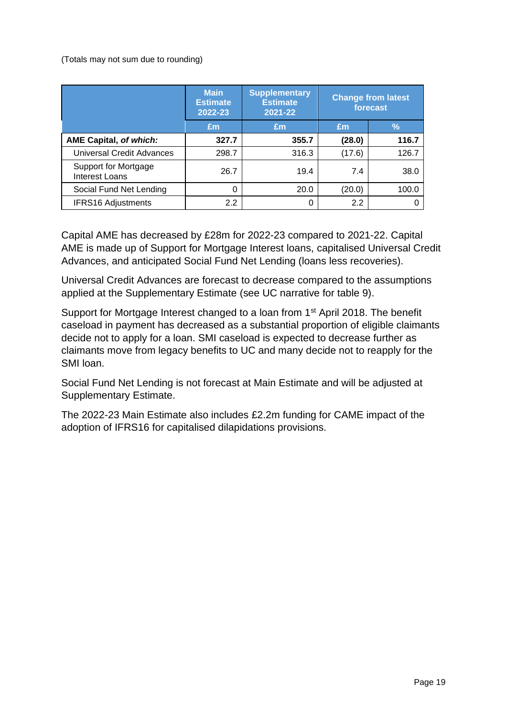(Totals may not sum due to rounding)

|                                               | <b>Main</b><br><b>Estimate</b><br>2022-23 | <b>Supplementary</b><br><b>Estimate</b><br>2021-22 | <b>Change from latest</b><br>forecast |       |  |
|-----------------------------------------------|-------------------------------------------|----------------------------------------------------|---------------------------------------|-------|--|
|                                               | Em                                        | Em                                                 | $\sqrt{2}$<br>Em                      |       |  |
| <b>AME Capital, of which:</b>                 | 327.7                                     | 355.7                                              | (28.0)                                | 116.7 |  |
| <b>Universal Credit Advances</b>              | 298.7                                     | 316.3                                              | (17.6)                                | 126.7 |  |
| Support for Mortgage<br><b>Interest Loans</b> | 26.7                                      | 19.4                                               | 7.4                                   | 38.0  |  |
| Social Fund Net Lending                       | 0                                         | 20.0                                               | (20.0)                                | 100.0 |  |
| <b>IFRS16 Adjustments</b>                     | 2.2                                       |                                                    | 2.2                                   |       |  |

Capital AME has decreased by £28m for 2022-23 compared to 2021-22. Capital AME is made up of Support for Mortgage Interest loans, capitalised Universal Credit Advances, and anticipated Social Fund Net Lending (loans less recoveries).

Universal Credit Advances are forecast to decrease compared to the assumptions applied at the Supplementary Estimate (see UC narrative for table 9).

Support for Mortgage Interest changed to a loan from 1<sup>st</sup> April 2018. The benefit caseload in payment has decreased as a substantial proportion of eligible claimants decide not to apply for a loan. SMI caseload is expected to decrease further as claimants move from legacy benefits to UC and many decide not to reapply for the SMI loan.

Social Fund Net Lending is not forecast at Main Estimate and will be adjusted at Supplementary Estimate.

The 2022-23 Main Estimate also includes £2.2m funding for CAME impact of the adoption of IFRS16 for capitalised dilapidations provisions.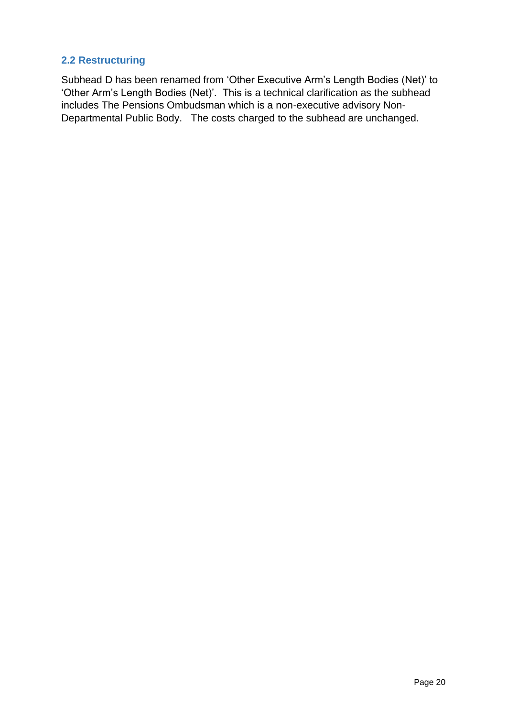## **2.2 Restructuring**

Subhead D has been renamed from 'Other Executive Arm's Length Bodies (Net)' to 'Other Arm's Length Bodies (Net)'. This is a technical clarification as the subhead includes The Pensions Ombudsman which is a non-executive advisory Non-Departmental Public Body. The costs charged to the subhead are unchanged.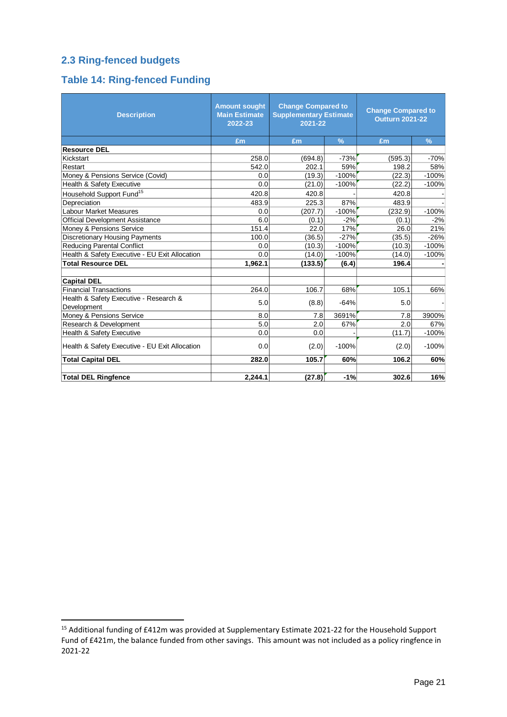## **2.3 Ring-fenced budgets**

## **Table 14: Ring-fenced Funding**

| <b>Description</b>                             | <b>Amount sought</b><br><b>Main Estimate</b><br>2022-23 | <b>Change Compared to</b><br><b>Supplementary Estimate</b><br>2021-22 |               | <b>Change Compared to</b><br><b>Outturn 2021-22</b> |               |  |
|------------------------------------------------|---------------------------------------------------------|-----------------------------------------------------------------------|---------------|-----------------------------------------------------|---------------|--|
|                                                | £m                                                      | £m                                                                    | $\frac{9}{6}$ | £m                                                  | $\frac{9}{6}$ |  |
| <b>Resource DEL</b>                            |                                                         |                                                                       |               |                                                     |               |  |
| Kickstart                                      | 258.0                                                   | (694.8)                                                               | $-73%$        | (595.3)                                             | $-70%$        |  |
| Restart                                        | 542.0                                                   | 202.1                                                                 | 59%           | 198.2                                               | 58%           |  |
| Money & Pensions Service (Covid)               | 0.0                                                     | (19.3)                                                                | $-100%$       | (22.3)                                              | $-100%$       |  |
| Health & Safety Executive                      | 0.0                                                     | (21.0)                                                                | $-100%$       | (22.2)                                              | $-100%$       |  |
| Household Support Fund <sup>15</sup>           | 420.8                                                   | 420.8                                                                 |               | 420.8                                               |               |  |
| Depreciation                                   | 483.9                                                   | 225.3                                                                 | 87%           | 483.9                                               |               |  |
| Labour Market Measures                         | 0.0                                                     | (207.7)                                                               | $-100%$       | (232.9)                                             | $-100%$       |  |
| <b>Official Development Assistance</b>         | 6.0                                                     | (0.1)                                                                 | $-2%$         | (0.1)                                               | $-2%$         |  |
| Money & Pensions Service                       | 151.4                                                   | 22.0                                                                  | 17%           | 26.0                                                | 21%           |  |
| Discretionary Housing Payments                 | 100.0                                                   | (36.5)                                                                | $-27%$        | (35.5)                                              | $-26%$        |  |
| <b>Reducing Parental Conflict</b>              | 0.0                                                     | (10.3)                                                                | $-100%$       | (10.3)                                              | $-100%$       |  |
| Health & Safety Executive - EU Exit Allocation | 0.0                                                     | (14.0)                                                                | $-100%$       | (14.0)                                              | $-100%$       |  |
| <b>Total Resource DEL</b>                      | 1,962.1                                                 | (133.5)                                                               | (6.4)         | 196.4                                               |               |  |
|                                                |                                                         |                                                                       |               |                                                     |               |  |
| <b>Capital DEL</b>                             |                                                         |                                                                       |               |                                                     |               |  |
| <b>Financial Transactions</b>                  | 264.0                                                   | 106.7                                                                 | 68%           | 105.1                                               | 66%           |  |
| Health & Safety Executive - Research &         | 5.0                                                     |                                                                       | $-64%$        | 5.0                                                 |               |  |
| Development                                    |                                                         | (8.8)                                                                 |               |                                                     |               |  |
| Money & Pensions Service                       | 8.0                                                     | 7.8                                                                   | 3691%         | 7.8                                                 | 3900%         |  |
| Research & Development                         | 5.0                                                     | 2.0                                                                   | 67%           | 2.0                                                 | 67%           |  |
| Health & Safety Executive                      | 0.0                                                     | 0.0                                                                   |               | (11.7)                                              | $-100%$       |  |
| Health & Safety Executive - EU Exit Allocation | 0.0                                                     | (2.0)                                                                 | $-100%$       | (2.0)                                               | $-100%$       |  |
| <b>Total Capital DEL</b>                       | 282.0                                                   | 105.7                                                                 | 60%           | 106.2                                               | 60%           |  |
| <b>Total DEL Ringfence</b>                     | 2,244.1                                                 | (27.8)                                                                | $-1%$         | 302.6                                               | 16%           |  |

<sup>&</sup>lt;sup>15</sup> Additional funding of £412m was provided at Supplementary Estimate 2021-22 for the Household Support Fund of £421m, the balance funded from other savings. This amount was not included as a policy ringfence in 2021-22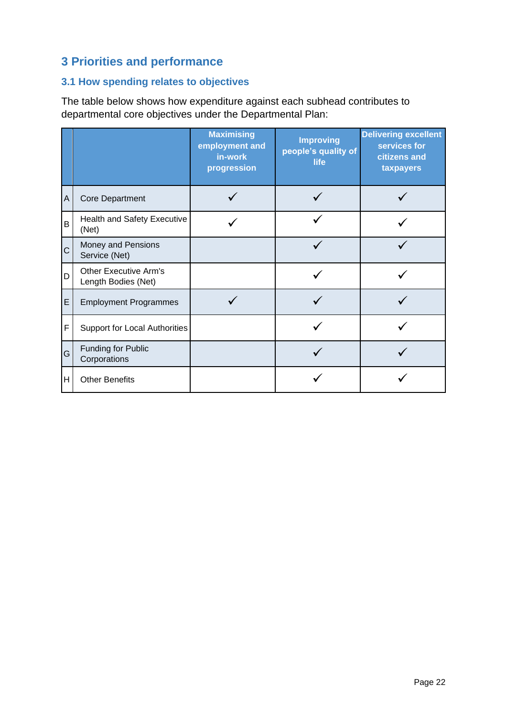## **3 Priorities and performance**

## **3.1 How spending relates to objectives**

The table below shows how expenditure against each subhead contributes to departmental core objectives under the Departmental Plan:

|   |                                                     | <b>Maximising</b><br>employment and<br>in-work<br>progression | <b>Improving</b><br>people's quality of<br>life | <b>Delivering excellent</b><br>services for<br>citizens and<br>taxpayers |
|---|-----------------------------------------------------|---------------------------------------------------------------|-------------------------------------------------|--------------------------------------------------------------------------|
| Α | <b>Core Department</b>                              |                                                               |                                                 |                                                                          |
| B | Health and Safety Executive<br>(Net)                |                                                               |                                                 |                                                                          |
| C | Money and Pensions<br>Service (Net)                 |                                                               |                                                 |                                                                          |
| D | <b>Other Executive Arm's</b><br>Length Bodies (Net) |                                                               |                                                 |                                                                          |
| E | <b>Employment Programmes</b>                        |                                                               |                                                 |                                                                          |
| F | <b>Support for Local Authorities</b>                |                                                               |                                                 |                                                                          |
| G | Funding for Public<br>Corporations                  |                                                               |                                                 |                                                                          |
| Н | <b>Other Benefits</b>                               |                                                               |                                                 |                                                                          |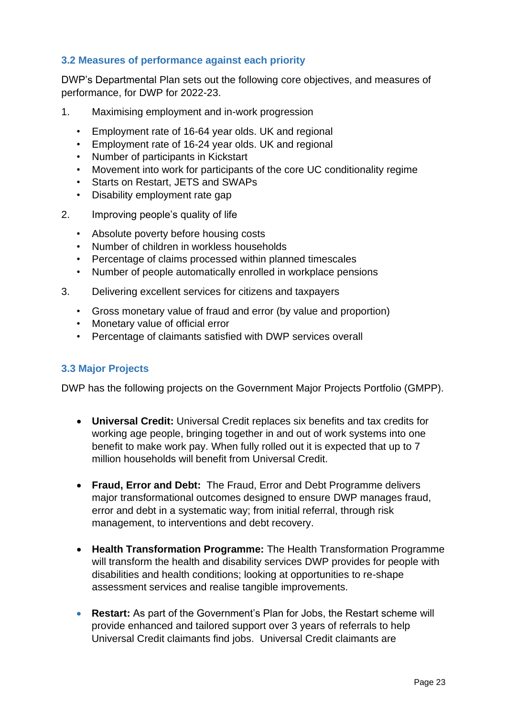## **3.2 Measures of performance against each priority**

DWP's Departmental Plan sets out the following core objectives, and measures of performance, for DWP for 2022-23.

- 1. Maximising employment and in-work progression
	- Employment rate of 16-64 year olds. UK and regional
	- Employment rate of 16-24 year olds. UK and regional
	- Number of participants in Kickstart
	- Movement into work for participants of the core UC conditionality regime
	- Starts on Restart, JETS and SWAPs
	- Disability employment rate gap
- 2. Improving people's quality of life
	- Absolute poverty before housing costs
	- Number of children in workless households
	- Percentage of claims processed within planned timescales
	- Number of people automatically enrolled in workplace pensions
- 3. Delivering excellent services for citizens and taxpayers
	- Gross monetary value of fraud and error (by value and proportion)
	- Monetary value of official error
	- Percentage of claimants satisfied with DWP services overall

## **3.3 Major Projects**

DWP has the following projects on the Government Major Projects Portfolio (GMPP).

- **Universal Credit:** Universal Credit replaces six benefits and tax credits for working age people, bringing together in and out of work systems into one benefit to make work pay. When fully rolled out it is expected that up to 7 million households will benefit from Universal Credit.
- **Fraud, Error and Debt:** The Fraud, Error and Debt Programme delivers major transformational outcomes designed to ensure DWP manages fraud, error and debt in a systematic way; from initial referral, through risk management, to interventions and debt recovery.
- **Health Transformation Programme:** The Health Transformation Programme will transform the health and disability services DWP provides for people with disabilities and health conditions; looking at opportunities to re-shape assessment services and realise tangible improvements.
- **Restart:** As part of the Government's Plan for Jobs, the Restart scheme will provide enhanced and tailored support over 3 years of referrals to help Universal Credit claimants find jobs. Universal Credit claimants are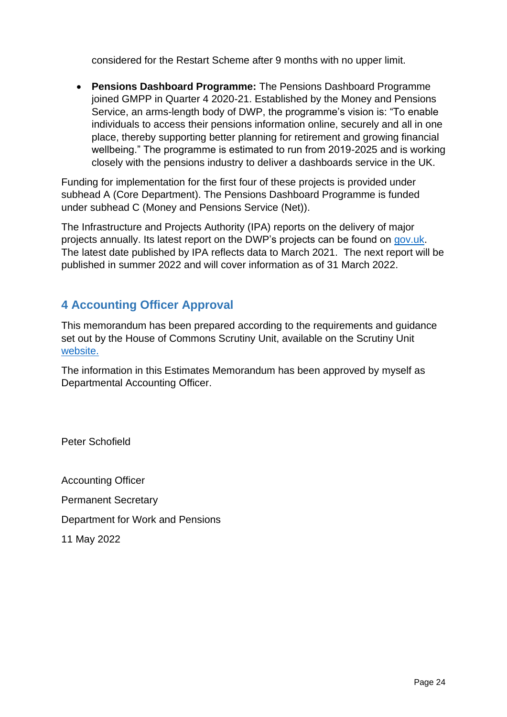considered for the Restart Scheme after 9 months with no upper limit.

• **Pensions Dashboard Programme:** The Pensions Dashboard Programme joined GMPP in Quarter 4 2020-21. Established by the Money and Pensions Service, an arms-length body of DWP, the programme's vision is: "To enable individuals to access their pensions information online, securely and all in one place, thereby supporting better planning for retirement and growing financial wellbeing." The programme is estimated to run from 2019-2025 and is working closely with the pensions industry to deliver a dashboards service in the UK.

Funding for implementation for the first four of these projects is provided under subhead A (Core Department). The Pensions Dashboard Programme is funded under subhead C (Money and Pensions Service (Net)).

The Infrastructure and Projects Authority (IPA) reports on the delivery of major projects annually. Its latest report on the DWP's projects can be found on [gov.uk.](https://www.gov.uk/government/collections/major-projects-data) The latest date published by IPA reflects data to March 2021. The next report will be published in summer 2022 and will cover information as of 31 March 2022.

## **4 Accounting Officer Approval**

This memorandum has been prepared according to the requirements and guidance set out by the House of Commons Scrutiny Unit, available on the Scrutiny Unit [website.](https://www.parliament.uk/scrutiny)

The information in this Estimates Memorandum has been approved by myself as Departmental Accounting Officer.

Peter Schofield

Accounting Officer Permanent Secretary Department for Work and Pensions 11 May 2022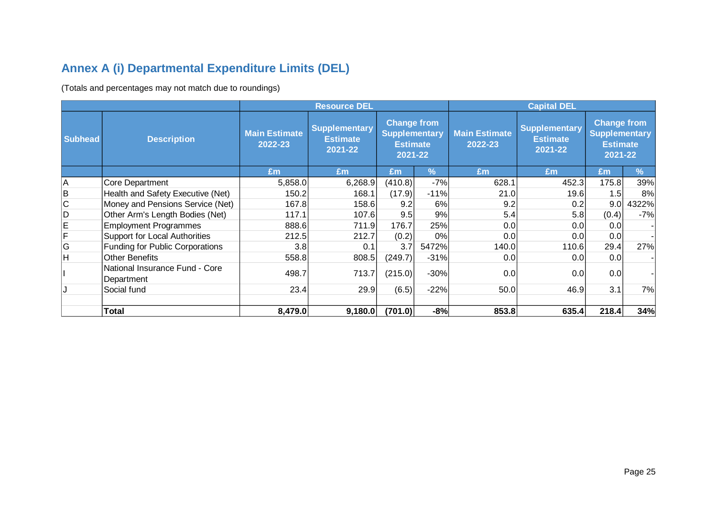# **Annex A (i) Departmental Expenditure Limits (DEL)**

(Totals and percentages may not match due to roundings)

|                |                                              |                                                                                                                                                                   | <b>Resource DEL</b> |                                 |                                                    | <b>Capital DEL</b>                                                       |       |       |       |
|----------------|----------------------------------------------|-------------------------------------------------------------------------------------------------------------------------------------------------------------------|---------------------|---------------------------------|----------------------------------------------------|--------------------------------------------------------------------------|-------|-------|-------|
| <b>Subhead</b> | <b>Description</b>                           | <b>Change from</b><br><b>Supplementary</b><br><b>Supplementary</b><br><b>Main Estimate</b><br><b>Estimate</b><br>2022-23<br><b>Estimate</b><br>2021-22<br>2021-22 |                     | <b>Main Estimate</b><br>2022-23 | <b>Supplementary</b><br><b>Estimate</b><br>2021-22 | <b>Change from</b><br><b>Supplementary</b><br><b>Estimate</b><br>2021-22 |       |       |       |
|                |                                              | £m                                                                                                                                                                | £m                  | Em                              | $\sqrt{2}$                                         | Em                                                                       | £m    | Em    | %     |
| A              | Core Department                              | 5,858.0                                                                                                                                                           | 6,268.9             | (410.8)                         | $-7%$                                              | 628.1                                                                    | 452.3 | 175.8 | 39%   |
| B              | Health and Safety Executive (Net)            | 150.2                                                                                                                                                             | 168.1               | (17.9)                          | $-11%$                                             | 21.0                                                                     | 19.6  | 1.5   | 8%    |
| $\mathsf C$    | Money and Pensions Service (Net)             | 167.8                                                                                                                                                             | 158.6               | 9.2                             | 6%                                                 | 9.2                                                                      | 0.2   | 9.0   | 4322% |
| D              | Other Arm's Length Bodies (Net)              | 117.1                                                                                                                                                             | 107.6               | 9.5                             | 9%                                                 | 5.4                                                                      | 5.8   | (0.4) | $-7%$ |
| E              | <b>Employment Programmes</b>                 | 888.6                                                                                                                                                             | 711.9               | 176.7                           | 25%                                                | 0.0                                                                      | 0.0   | 0.0   |       |
| F              | Support for Local Authorities                | 212.5                                                                                                                                                             | 212.7               | (0.2)                           | 0%                                                 | 0.0                                                                      | 0.0   | 0.0   |       |
| G              | Funding for Public Corporations              | 3.8                                                                                                                                                               | 0.1                 | 3.7                             | 5472%                                              | 140.0                                                                    | 110.6 | 29.4  | 27%   |
| Н              | <b>Other Benefits</b>                        | 558.8                                                                                                                                                             | 808.5               | (249.7)                         | $-31%$                                             | 0.0                                                                      | 0.0   | 0.0   |       |
|                | National Insurance Fund - Core<br>Department | 498.7                                                                                                                                                             | 713.7               | (215.0)                         | $-30%$                                             | 0.0                                                                      | 0.0   | 0.0   |       |
|                | Social fund                                  | 23.4                                                                                                                                                              | 29.9                | (6.5)                           | $-22%$                                             | 50.0                                                                     | 46.9  | 3.1   | 7%    |
|                |                                              |                                                                                                                                                                   |                     |                                 |                                                    |                                                                          |       |       |       |
|                | <b>Total</b>                                 | 8,479.0                                                                                                                                                           | 9,180.0             | (701.0)                         | $-8%$                                              | 853.8                                                                    | 635.4 | 218.4 | 34%   |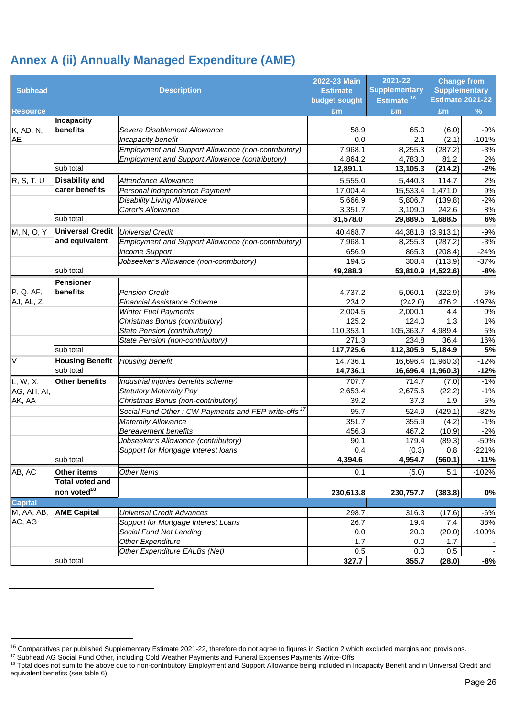## **Annex A (ii) Annually Managed Expenditure (AME)**

|                          | 2022-23 Main            |                                                                 |                 | 2021-22                | <b>Change from</b>      |                      |
|--------------------------|-------------------------|-----------------------------------------------------------------|-----------------|------------------------|-------------------------|----------------------|
| <b>Subhead</b>           |                         | <b>Description</b>                                              | <b>Estimate</b> | <b>Supplementary</b>   |                         | <b>Supplementary</b> |
|                          |                         |                                                                 | budget sought   | Estimate <sup>16</sup> | <b>Estimate 2021-22</b> |                      |
| <b>Resource</b>          |                         |                                                                 | £m              | £m                     | £m                      | %                    |
|                          | <b>Incapacity</b>       |                                                                 |                 |                        |                         |                      |
| K, AD, N,                | benefits                | Severe Disablement Allowance                                    | 58.9            | 65.0                   | (6.0)                   | $-9%$                |
| <b>AE</b>                |                         | Incapacity benefit                                              | 0.0             | 2.1                    | (2.1)                   | $-101%$              |
|                          |                         | Employment and Support Allowance (non-contributory)             | 7,968.1         | 8,255.3                | (287.2)                 | $-3%$                |
|                          |                         | Employment and Support Allowance (contributory)                 | 4,864.2         | 4,783.0                | 81.2                    | 2%                   |
|                          | sub total               |                                                                 | 12,891.1        | 13,105.3               | (214.2)                 | $-2%$                |
| R, S, T, U               | <b>Disability and</b>   | Attendance Allowance                                            | 5,555.0         | 5,440.3                | 114.7                   | 2%                   |
|                          | carer benefits          | Personal Independence Payment                                   | 17,004.4        | 15,533.4               | 1,471.0                 | 9%                   |
|                          |                         | <b>Disability Living Allowance</b>                              | 5,666.9         | 5,806.7                | (139.8)                 | $-2%$                |
|                          |                         | Carer's Allowance                                               | 3,351.7         | 3,109.0                | 242.6                   | 8%                   |
|                          | sub total               |                                                                 | 31,578.0        | 29,889.5               | 1,688.5                 | 6%                   |
| M, N, O, Y               | <b>Universal Credit</b> | <b>Universal Credit</b>                                         | 40,468.7        | 44,381.8               | (3,913.1)               | $-9%$                |
|                          | and equivalent          | Employment and Support Allowance (non-contributory)             | 7,968.1         | 8,255.3                | (287.2)                 | $-3%$                |
|                          |                         | <b>Income Support</b>                                           | 656.9           | 865.3                  | (208.4)                 | $-24%$               |
|                          |                         | Jobseeker's Allowance (non-contributory)                        | 194.5           | 308.4                  | (113.9)                 | $-37%$               |
|                          | sub total               |                                                                 | 49,288.3        |                        | 53,810.9 (4,522.6)      | $-8%$                |
|                          | <b>Pensioner</b>        |                                                                 |                 |                        |                         |                      |
| P, Q, AF,                | benefits                | <b>Pension Credit</b>                                           | 4,737.2         | 5,060.1                | (322.9)                 | $-6%$                |
| AJ, AL, Z                |                         | <b>Financial Assistance Scheme</b>                              | 234.2           | (242.0)                | 476.2                   | $-197%$              |
|                          |                         | <b>Winter Fuel Payments</b>                                     | 2,004.5         | 2,000.1                | 4.4                     | 0%                   |
|                          |                         | Christmas Bonus (contributory)                                  | 125.2           | 124.0                  | 1.3                     | 1%                   |
|                          |                         | State Pension (contributory)                                    | 110,353.1       | 105,363.7              | 4,989.4                 | 5%                   |
|                          |                         | State Pension (non-contributory)                                | 271.3           | 234.8                  | 36.4                    | 16%                  |
|                          | sub total               |                                                                 | 117,725.6       | 112,305.9              | 5,184.9                 | 5%                   |
| $\vee$                   | <b>Housing Benefit</b>  | <b>Housing Benefit</b>                                          | 14,736.1        | 16,696.4               | (1,960.3)               | $-12%$               |
|                          | sub total               |                                                                 | 14,736.1        |                        | 16,696.4 (1,960.3)      | $-12%$               |
| L, W, X,                 | <b>Other benefits</b>   | Industrial injuries benefits scheme                             | 707.7           | 714.7                  | (7.0)                   | $-1%$                |
| AG, AH, AI,              |                         | <b>Statutory Maternity Pay</b>                                  | 2,653.4         | 2,675.6                | (22.2)                  | $-1%$                |
| AK, AA                   |                         | Christmas Bonus (non-contributory)                              | 39.2            | 37.3                   | 1.9                     | 5%                   |
|                          |                         | Social Fund Other: CW Payments and FEP write-offs <sup>17</sup> | 95.7            | 524.9                  | (429.1)                 | $-82%$               |
|                          |                         | <b>Maternity Allowance</b>                                      | 351.7           | 355.9                  | (4.2)                   | $-1%$                |
|                          |                         | <b>Bereavement benefits</b>                                     | 456.3           | 467.2                  | (10.9)                  | $-2%$                |
|                          |                         | Jobseeker's Allowance (contributory)                            | 90.1            | 179.4                  | (89.3)                  | $-50%$               |
|                          |                         | Support for Mortgage Interest loans                             | 0.4             | (0.3)                  | 0.8                     | $-221%$              |
|                          | sub total               |                                                                 | 4,394.6         | 4,954.7                | (560.1)                 | $-11%$               |
| AB, AC                   | Other items             | Other Items                                                     | 0.1             | (5.0)                  | 5.1                     | $-102%$              |
|                          | <b>Total voted and</b>  |                                                                 |                 |                        |                         |                      |
|                          | non voted <sup>18</sup> |                                                                 | 230,613.8       | 230,757.7              | (383.8)                 | 0%                   |
| <b>Capital</b>           |                         |                                                                 |                 |                        |                         |                      |
| $\overline{M}$ , AA, AB, | <b>AME Capital</b>      | <b>Universal Credit Advances</b>                                | 298.7           | 316.3                  | (17.6)                  | $-6%$                |
| AC, AG                   |                         | Support for Mortgage Interest Loans                             | 26.7            | 19.4                   | 7.4                     | 38%                  |
|                          |                         | Social Fund Net Lending                                         | 0.0             | 20.0                   | (20.0)                  | $-100%$              |
|                          |                         | Other Expenditure                                               | 1.7             | 0.0                    | 1.7                     |                      |
|                          |                         | Other Expenditure EALBs (Net)                                   | 0.5             | 0.0                    | 0.5                     |                      |
|                          | sub total               |                                                                 | 327.7           | 355.7                  | (28.0)                  | $-8%$                |

<sup>&</sup>lt;sup>16</sup> Comparatives per published Supplementary Estimate 2021-22, therefore do not agree to figures in Section 2 which excluded margins and provisions.

<sup>&</sup>lt;sup>17</sup> Subhead AG Social Fund Other, including Cold Weather Payments and Funeral Expenses Payments Write-Offs

<sup>&</sup>lt;sup>18</sup> Total does not sum to the above due to non-contributory Employment and Support Allowance being included in Incapacity Benefit and in Universal Credit and equivalent benefits (see table 6).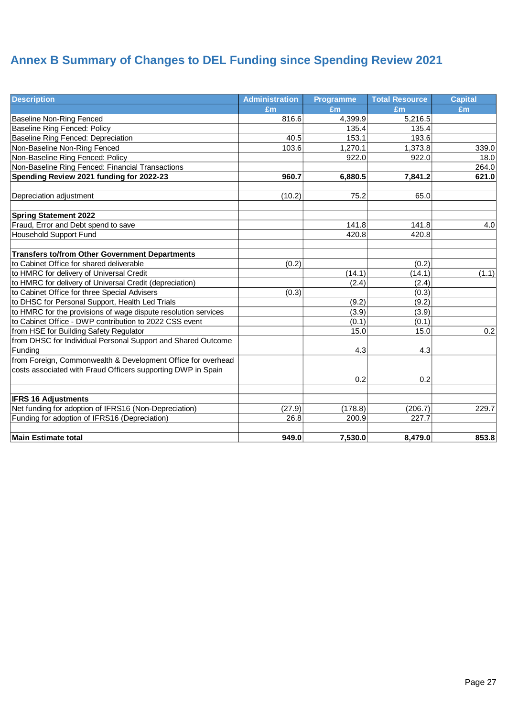# **Annex B Summary of Changes to DEL Funding since Spending Review 2021**

| <b>Description</b>                                             | <b>Administration</b> | <b>Programme</b> | <b>Total Resource</b> | <b>Capital</b> |
|----------------------------------------------------------------|-----------------------|------------------|-----------------------|----------------|
|                                                                | Em                    | £m               | Em                    | £m             |
| Baseline Non-Ring Fenced                                       | 816.6                 | 4,399.9          | 5,216.5               |                |
| <b>Baseline Ring Fenced: Policy</b>                            |                       | 135.4            | 135.4                 |                |
| Baseline Ring Fenced: Depreciation                             | 40.5                  | 153.1            | 193.6                 |                |
| Non-Baseline Non-Ring Fenced                                   | 103.6                 | 1,270.1          | 1,373.8               | 339.0          |
| Non-Baseline Ring Fenced: Policy                               |                       | 922.0            | 922.0                 | 18.0           |
| Non-Baseline Ring Fenced: Financial Transactions               |                       |                  |                       | 264.0          |
| Spending Review 2021 funding for 2022-23                       | 960.7                 | 6,880.5          | 7,841.2               | 621.0          |
|                                                                |                       |                  |                       |                |
| Depreciation adjustment                                        | (10.2)                | 75.2             | 65.0                  |                |
| <b>Spring Statement 2022</b>                                   |                       |                  |                       |                |
| Fraud, Error and Debt spend to save                            |                       | 141.8            | 141.8                 | 4.0            |
| Household Support Fund                                         |                       | 420.8            | 420.8                 |                |
| <b>Transfers to/from Other Government Departments</b>          |                       |                  |                       |                |
| to Cabinet Office for shared deliverable                       | (0.2)                 |                  | (0.2)                 |                |
| to HMRC for delivery of Universal Credit                       |                       | (14.1)           | (14.1)                | (1.1)          |
| to HMRC for delivery of Universal Credit (depreciation)        |                       | (2.4)            | (2.4)                 |                |
| to Cabinet Office for three Special Advisers                   | (0.3)                 |                  | (0.3)                 |                |
| to DHSC for Personal Support, Health Led Trials                |                       | (9.2)            | (9.2)                 |                |
| to HMRC for the provisions of wage dispute resolution services |                       | (3.9)            | (3.9)                 |                |
| to Cabinet Office - DWP contribution to 2022 CSS event         |                       | (0.1)            | (0.1)                 |                |
| from HSE for Building Safety Regulator                         |                       | 15.0             | 15.0                  | 0.2            |
| from DHSC for Individual Personal Support and Shared Outcome   |                       |                  |                       |                |
| Funding                                                        |                       | 4.3              | 4.3                   |                |
| from Foreign, Commonwealth & Development Office for overhead   |                       |                  |                       |                |
| costs associated with Fraud Officers supporting DWP in Spain   |                       |                  |                       |                |
|                                                                |                       | 0.2              | 0.2                   |                |
| <b>IFRS 16 Adjustments</b>                                     |                       |                  |                       |                |
| Net funding for adoption of IFRS16 (Non-Depreciation)          | (27.9)                | (178.8)          | (206.7)               | 229.7          |
| Funding for adoption of IFRS16 (Depreciation)                  | 26.8                  | 200.9            | 227.7                 |                |
| <b>Main Estimate total</b>                                     | 949.0                 | 7,530.0          | 8,479.0               | 853.8          |